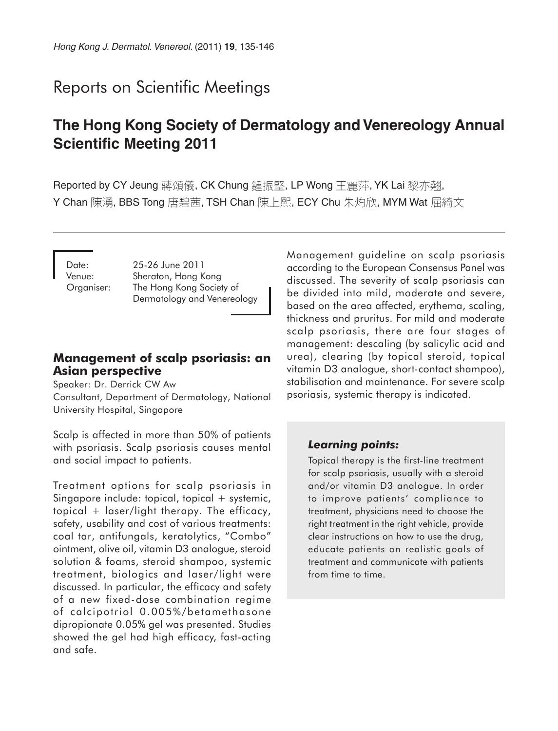# Reports on Scientific Meetings

# **The Hong Kong Society of Dermatology and Venereology Annual Scientific Meeting 2011**

Reported by CY Jeung 蔣頌儀, CK Chung 鍾振堅, LP Wong 王麗萍, YK Lai 黎亦翹, Y Chan 陳湧, BBS Tong 唐碧茜, TSH Chan 陳上熙, ECY Chu 朱灼欣, MYM Wat 屈綺文

Date: 25-26 June 2011 Venue: Sheraton, Hong Kong Organiser: The Hong Kong Society of Dermatology and Venereology

## **Management of scalp psoriasis: an Asian perspective**

Speaker: Dr. Derrick CW Aw Consultant, Department of Dermatology, National University Hospital, Singapore

Scalp is affected in more than 50% of patients with psoriasis. Scalp psoriasis causes mental and social impact to patients.

Treatment options for scalp psoriasis in Singapore include: topical, topical + systemic, topical + laser/light therapy. The efficacy, safety, usability and cost of various treatments: coal tar, antifungals, keratolytics, "Combo" ointment, olive oil, vitamin D3 analogue, steroid solution & foams, steroid shampoo, systemic treatment, biologics and laser/light were discussed. In particular, the efficacy and safety of a new fixed-dose combination regime of calcipotriol 0.005%/betamethasone dipropionate 0.05% gel was presented. Studies showed the gel had high efficacy, fast-acting and safe.

Management guideline on scalp psoriasis according to the European Consensus Panel was discussed. The severity of scalp psoriasis can be divided into mild, moderate and severe, based on the area affected, erythema, scaling, thickness and pruritus. For mild and moderate scalp psoriasis, there are four stages of management: descaling (by salicylic acid and urea), clearing (by topical steroid, topical vitamin D3 analogue, short-contact shampoo), stabilisation and maintenance. For severe scalp psoriasis, systemic therapy is indicated.

### *Learning points:*

Topical therapy is the first-line treatment for scalp psoriasis, usually with a steroid and/or vitamin D3 analogue. In order to improve patients' compliance to treatment, physicians need to choose the right treatment in the right vehicle, provide clear instructions on how to use the drug, educate patients on realistic goals of treatment and communicate with patients from time to time.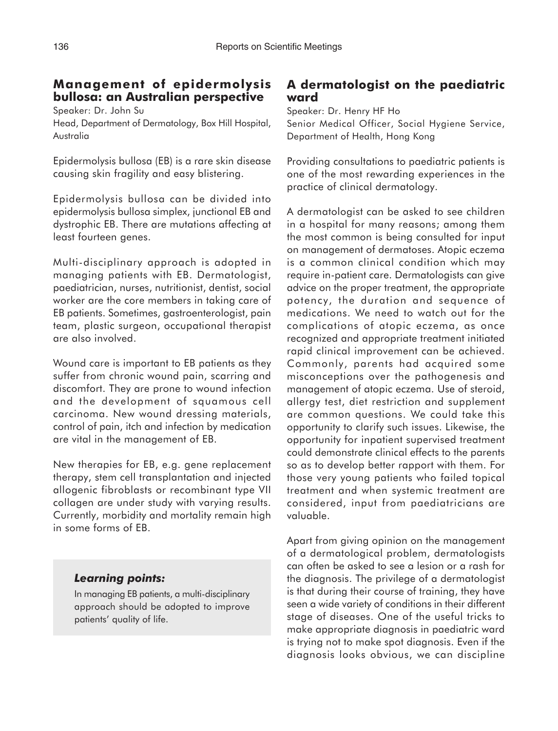# **Management of epidermolysis bullosa: an Australian perspective**

Speaker: Dr. John Su

Head, Department of Dermatology, Box Hill Hospital, Australia

Epidermolysis bullosa (EB) is a rare skin disease causing skin fragility and easy blistering.

Epidermolysis bullosa can be divided into epidermolysis bullosa simplex, junctional EB and dystrophic EB. There are mutations affecting at least fourteen genes.

Multi-disciplinary approach is adopted in managing patients with EB. Dermatologist, paediatrician, nurses, nutritionist, dentist, social worker are the core members in taking care of EB patients. Sometimes, gastroenterologist, pain team, plastic surgeon, occupational therapist are also involved.

Wound care is important to EB patients as they suffer from chronic wound pain, scarring and discomfort. They are prone to wound infection and the development of squamous cell carcinoma. New wound dressing materials, control of pain, itch and infection by medication are vital in the management of EB.

New therapies for EB, e.g. gene replacement therapy, stem cell transplantation and injected allogenic fibroblasts or recombinant type VII collagen are under study with varying results. Currently, morbidity and mortality remain high in some forms of EB.

## *Learning points:*

In managing EB patients, a multi-disciplinary approach should be adopted to improve patients' quality of life.

# **A dermatologist on the paediatric ward**

Speaker: Dr. Henry HF Ho Senior Medical Officer, Social Hygiene Service, Department of Health, Hong Kong

Providing consultations to paediatric patients is one of the most rewarding experiences in the practice of clinical dermatology.

A dermatologist can be asked to see children in a hospital for many reasons; among them the most common is being consulted for input on management of dermatoses. Atopic eczema is a common clinical condition which may require in-patient care. Dermatologists can give advice on the proper treatment, the appropriate potency, the duration and sequence of medications. We need to watch out for the complications of atopic eczema, as once recognized and appropriate treatment initiated rapid clinical improvement can be achieved. Commonly, parents had acquired some misconceptions over the pathogenesis and management of atopic eczema. Use of steroid, allergy test, diet restriction and supplement are common questions. We could take this opportunity to clarify such issues. Likewise, the opportunity for inpatient supervised treatment could demonstrate clinical effects to the parents so as to develop better rapport with them. For those very young patients who failed topical treatment and when systemic treatment are considered, input from paediatricians are valuable.

Apart from giving opinion on the management of a dermatological problem, dermatologists can often be asked to see a lesion or a rash for the diagnosis. The privilege of a dermatologist is that during their course of training, they have seen a wide variety of conditions in their different stage of diseases. One of the useful tricks to make appropriate diagnosis in paediatric ward is trying not to make spot diagnosis. Even if the diagnosis looks obvious, we can discipline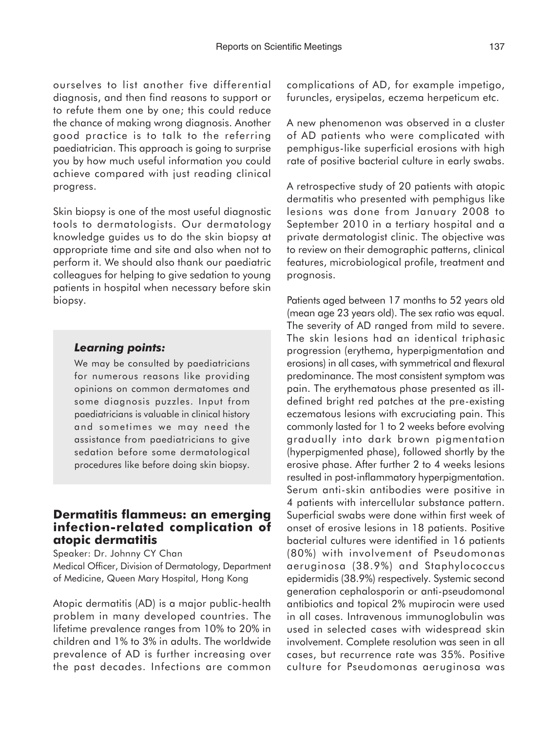ourselves to list another five differential diagnosis, and then find reasons to support or to refute them one by one; this could reduce the chance of making wrong diagnosis. Another good practice is to talk to the referring paediatrician. This approach is going to surprise you by how much useful information you could achieve compared with just reading clinical progress.

Skin biopsy is one of the most useful diagnostic tools to dermatologists. Our dermatology knowledge guides us to do the skin biopsy at appropriate time and site and also when not to perform it. We should also thank our paediatric colleagues for helping to give sedation to young patients in hospital when necessary before skin biopsy.

#### *Learning points:*

We may be consulted by paediatricians for numerous reasons like providing opinions on common dermatomes and some diagnosis puzzles. Input from paediatricians is valuable in clinical history and sometimes we may need the assistance from paediatricians to give sedation before some dermatological procedures like before doing skin biopsy.

## **Dermatitis flammeus: an emerging infection-related complication of atopic dermatitis**

Speaker: Dr. Johnny CY Chan Medical Officer, Division of Dermatology, Department of Medicine, Queen Mary Hospital, Hong Kong

Atopic dermatitis (AD) is a major public-health problem in many developed countries. The lifetime prevalence ranges from 10% to 20% in children and 1% to 3% in adults. The worldwide prevalence of AD is further increasing over the past decades. Infections are common complications of AD, for example impetigo, furuncles, erysipelas, eczema herpeticum etc.

A new phenomenon was observed in a cluster of AD patients who were complicated with pemphigus-like superficial erosions with high rate of positive bacterial culture in early swabs.

A retrospective study of 20 patients with atopic dermatitis who presented with pemphigus like lesions was done from January 2008 to September 2010 in a tertiary hospital and a private dermatologist clinic. The objective was to review on their demographic patterns, clinical features, microbiological profile, treatment and prognosis.

Patients aged between 17 months to 52 years old (mean age 23 years old). The sex ratio was equal. The severity of AD ranged from mild to severe. The skin lesions had an identical triphasic progression (erythema, hyperpigmentation and erosions) in all cases, with symmetrical and flexural predominance. The most consistent symptom was pain. The erythematous phase presented as illdefined bright red patches at the pre-existing eczematous lesions with excruciating pain. This commonly lasted for 1 to 2 weeks before evolving gradually into dark brown pigmentation (hyperpigmented phase), followed shortly by the erosive phase. After further 2 to 4 weeks lesions resulted in post-inflammatory hyperpigmentation. Serum anti-skin antibodies were positive in 4 patients with intercellular substance pattern. Superficial swabs were done within first week of onset of erosive lesions in 18 patients. Positive bacterial cultures were identified in 16 patients (80%) with involvement of Pseudomonas aeruginosa (38.9%) and Staphylococcus epidermidis (38.9%) respectively. Systemic second generation cephalosporin or anti-pseudomonal antibiotics and topical 2% mupirocin were used in all cases. Intravenous immunoglobulin was used in selected cases with widespread skin involvement. Complete resolution was seen in all cases, but recurrence rate was 35%. Positive culture for Pseudomonas aeruginosa was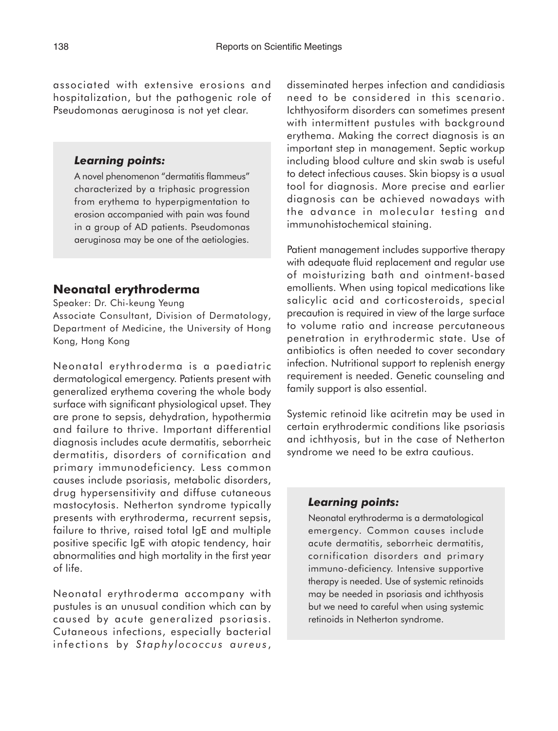associated with extensive erosions and hospitalization, but the pathogenic role of Pseudomonas aeruginosa is not yet clear.

#### *Learning points:*

A novel phenomenon "dermatitis flammeus" characterized by a triphasic progression from erythema to hyperpigmentation to erosion accompanied with pain was found in a group of AD patients. Pseudomonas aeruginosa may be one of the aetiologies.

## **Neonatal erythroderma**

Speaker: Dr. Chi-keung Yeung

Associate Consultant, Division of Dermatology, Department of Medicine, the University of Hong Kong, Hong Kong

Neonatal erythroderma is a paediatric dermatological emergency. Patients present with generalized erythema covering the whole body surface with significant physiological upset. They are prone to sepsis, dehydration, hypothermia and failure to thrive. Important differential diagnosis includes acute dermatitis, seborrheic dermatitis, disorders of cornification and primary immunodeficiency. Less common causes include psoriasis, metabolic disorders, drug hypersensitivity and diffuse cutaneous mastocytosis. Netherton syndrome typically presents with erythroderma, recurrent sepsis, failure to thrive, raised total IgE and multiple positive specific IgE with atopic tendency, hair abnormalities and high mortality in the first year of life.

Neonatal erythroderma accompany with pustules is an unusual condition which can by caused by acute generalized psoriasis. Cutaneous infections, especially bacterial infections by *Staphylococcus aureus* , disseminated herpes infection and candidiasis need to be considered in this scenario. Ichthyosiform disorders can sometimes present with intermittent pustules with background erythema. Making the correct diagnosis is an important step in management. Septic workup including blood culture and skin swab is useful to detect infectious causes. Skin biopsy is a usual tool for diagnosis. More precise and earlier diagnosis can be achieved nowadays with the advance in molecular testing and immunohistochemical staining.

Patient management includes supportive therapy with adequate fluid replacement and regular use of moisturizing bath and ointment-based emollients. When using topical medications like salicylic acid and corticosteroids, special precaution is required in view of the large surface to volume ratio and increase percutaneous penetration in erythrodermic state. Use of antibiotics is often needed to cover secondary infection. Nutritional support to replenish energy requirement is needed. Genetic counseling and family support is also essential.

Systemic retinoid like acitretin may be used in certain erythrodermic conditions like psoriasis and ichthyosis, but in the case of Netherton syndrome we need to be extra cautious.

### *Learning points:*

Neonatal erythroderma is a dermatological emergency. Common causes include acute dermatitis, seborrheic dermatitis, cornification disorders and primary immuno-deficiency. Intensive supportive therapy is needed. Use of systemic retinoids may be needed in psoriasis and ichthyosis but we need to careful when using systemic retinoids in Netherton syndrome.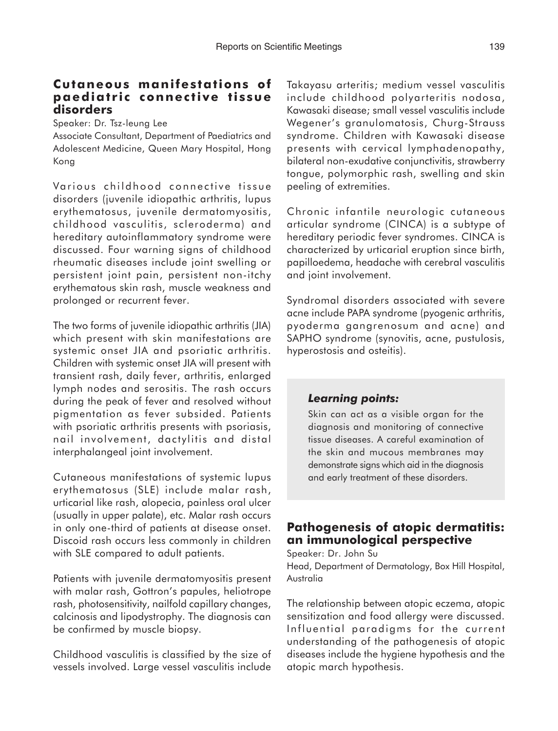# **Cutaneous manifestations of paediatric connective tissue disorders**

Speaker: Dr. Tsz-leung Lee

Associate Consultant, Department of Paediatrics and Adolescent Medicine, Queen Mary Hospital, Hong Kong

Various childhood connective tissue disorders (juvenile idiopathic arthritis, lupus erythematosus, juvenile dermatomyositis, childhood vasculitis, scleroderma) and hereditary autoinflammatory syndrome were discussed. Four warning signs of childhood rheumatic diseases include joint swelling or persistent joint pain, persistent non-itchy erythematous skin rash, muscle weakness and prolonged or recurrent fever.

The two forms of juvenile idiopathic arthritis (JIA) which present with skin manifestations are systemic onset JIA and psoriatic arthritis. Children with systemic onset JIA will present with transient rash, daily fever, arthritis, enlarged lymph nodes and serositis. The rash occurs during the peak of fever and resolved without pigmentation as fever subsided. Patients with psoriatic arthritis presents with psoriasis, nail involvement, dactylitis and distal interphalangeal joint involvement.

Cutaneous manifestations of systemic lupus erythematosus (SLE) include malar rash, urticarial like rash, alopecia, painless oral ulcer (usually in upper palate), etc. Malar rash occurs in only one-third of patients at disease onset. Discoid rash occurs less commonly in children with SLE compared to adult patients.

Patients with juvenile dermatomyositis present with malar rash, Gottron's papules, heliotrope rash, photosensitivity, nailfold capillary changes, calcinosis and lipodystrophy. The diagnosis can be confirmed by muscle biopsy.

Childhood vasculitis is classified by the size of vessels involved. Large vessel vasculitis include

Takayasu arteritis; medium vessel vasculitis include childhood polyarteritis nodosa, Kawasaki disease; small vessel vasculitis include Wegener's granulomatosis, Churg-Strauss syndrome. Children with Kawasaki disease presents with cervical lymphadenopathy, bilateral non-exudative conjunctivitis, strawberry tongue, polymorphic rash, swelling and skin peeling of extremities.

Chronic infantile neurologic cutaneous articular syndrome (CINCA) is a subtype of hereditary periodic fever syndromes. CINCA is characterized by urticarial eruption since birth, papilloedema, headache with cerebral vasculitis and joint involvement.

Syndromal disorders associated with severe acne include PAPA syndrome (pyogenic arthritis, pyoderma gangrenosum and acne) and SAPHO syndrome (synovitis, acne, pustulosis, hyperostosis and osteitis).

### *Learning points:*

Skin can act as a visible organ for the diagnosis and monitoring of connective tissue diseases. A careful examination of the skin and mucous membranes may demonstrate signs which aid in the diagnosis and early treatment of these disorders.

## **Pathogenesis of atopic dermatitis: an immunological perspective**

Speaker: Dr. John Su Head, Department of Dermatology, Box Hill Hospital, Australia

The relationship between atopic eczema, atopic sensitization and food allergy were discussed. Influential paradigms for the current understanding of the pathogenesis of atopic diseases include the hygiene hypothesis and the atopic march hypothesis.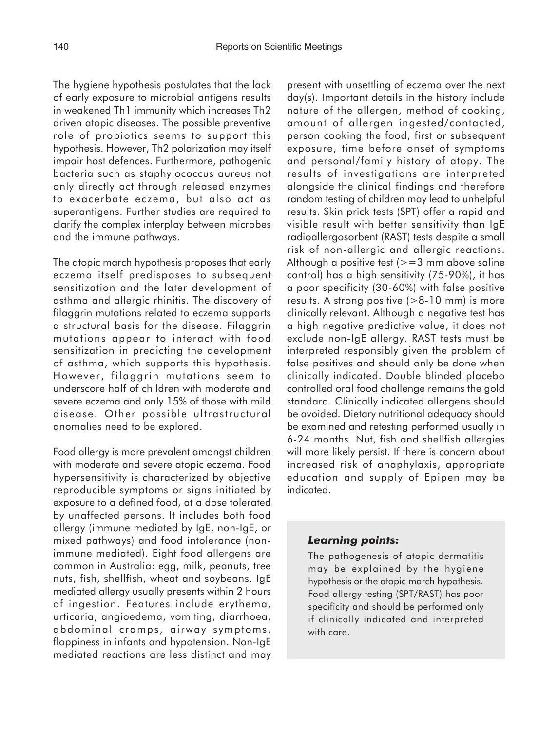The hygiene hypothesis postulates that the lack of early exposure to microbial antigens results in weakened Th1 immunity which increases Th2 driven atopic diseases. The possible preventive role of probiotics seems to support this hypothesis. However, Th2 polarization may itself impair host defences. Furthermore, pathogenic bacteria such as staphylococcus aureus not only directly act through released enzymes to exacerbate eczema, but also act as superantigens. Further studies are required to clarify the complex interplay between microbes

and the immune pathways.

The atopic march hypothesis proposes that early eczema itself predisposes to subsequent sensitization and the later development of asthma and allergic rhinitis. The discovery of filaggrin mutations related to eczema supports a structural basis for the disease. Filaggrin mutations appear to interact with food sensitization in predicting the development of asthma, which supports this hypothesis. However, filaggrin mutations seem to underscore half of children with moderate and severe eczema and only 15% of those with mild disease. Other possible ultrastructural anomalies need to be explored.

Food allergy is more prevalent amongst children with moderate and severe atopic eczema. Food hypersensitivity is characterized by objective reproducible symptoms or signs initiated by exposure to a defined food, at a dose tolerated by unaffected persons. It includes both food allergy (immune mediated by IgE, non-IgE, or mixed pathways) and food intolerance (nonimmune mediated). Eight food allergens are common in Australia: egg, milk, peanuts, tree nuts, fish, shellfish, wheat and soybeans. IgE mediated allergy usually presents within 2 hours of ingestion. Features include erythema, urticaria, angioedema, vomiting, diarrhoea, abdominal cramps, airway symptoms, floppiness in infants and hypotension. Non-IgE mediated reactions are less distinct and may present with unsettling of eczema over the next day(s). Important details in the history include nature of the allergen, method of cooking, amount of allergen ingested/contacted, person cooking the food, first or subsequent exposure, time before onset of symptoms and personal/family history of atopy. The results of investigations are interpreted alongside the clinical findings and therefore random testing of children may lead to unhelpful results. Skin prick tests (SPT) offer a rapid and visible result with better sensitivity than IgE radioallergosorbent (RAST) tests despite a small risk of non-allergic and allergic reactions. Although a positive test  $(>=3$  mm above saline control) has a high sensitivity (75-90%), it has a poor specificity (30-60%) with false positive results. A strong positive  $(>8-10$  mm) is more clinically relevant. Although a negative test has a high negative predictive value, it does not exclude non-IgE allergy. RAST tests must be interpreted responsibly given the problem of false positives and should only be done when clinically indicated. Double blinded placebo controlled oral food challenge remains the gold standard. Clinically indicated allergens should be avoided. Dietary nutritional adequacy should be examined and retesting performed usually in 6-24 months. Nut, fish and shellfish allergies will more likely persist. If there is concern about increased risk of anaphylaxis, appropriate education and supply of Epipen may be indicated.

#### *Learning points:*

The pathogenesis of atopic dermatitis may be explained by the hygiene hypothesis or the atopic march hypothesis. Food allergy testing (SPT/RAST) has poor specificity and should be performed only if clinically indicated and interpreted with care.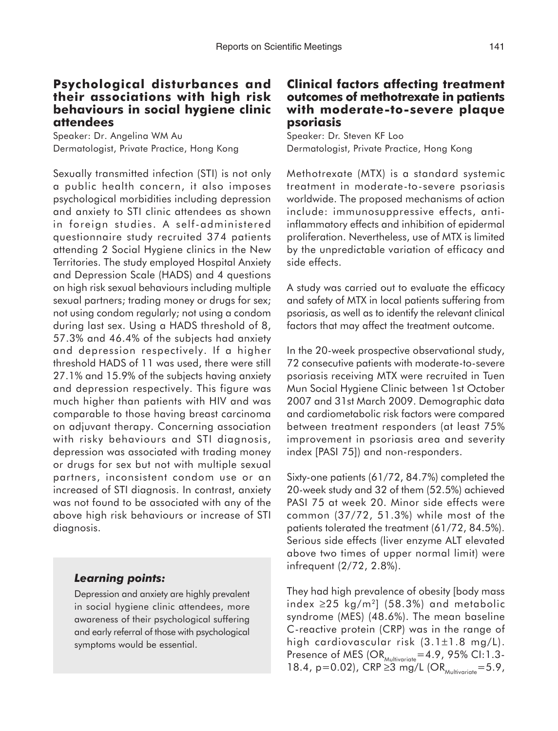## **Psychological disturbances and their associations with high risk behaviours in social hygiene clinic attendees**

Speaker: Dr. Angelina WM Au Dermatologist, Private Practice, Hong Kong

Sexually transmitted infection (STI) is not only a public health concern, it also imposes psychological morbidities including depression and anxiety to STI clinic attendees as shown in foreign studies. A self-administered questionnaire study recruited 374 patients attending 2 Social Hygiene clinics in the New Territories. The study employed Hospital Anxiety and Depression Scale (HADS) and 4 questions on high risk sexual behaviours including multiple sexual partners; trading money or drugs for sex; not using condom regularly; not using a condom during last sex. Using a HADS threshold of 8, 57.3% and 46.4% of the subjects had anxiety and depression respectively. If a higher threshold HADS of 11 was used, there were still 27.1% and 15.9% of the subjects having anxiety and depression respectively. This figure was much higher than patients with HIV and was comparable to those having breast carcinoma on adjuvant therapy. Concerning association with risky behaviours and STI diagnosis, depression was associated with trading money or drugs for sex but not with multiple sexual partners, inconsistent condom use or an increased of STI diagnosis. In contrast, anxiety was not found to be associated with any of the above high risk behaviours or increase of STI diagnosis.

# *Learning points:*

Depression and anxiety are highly prevalent in social hygiene clinic attendees, more awareness of their psychological suffering and early referral of those with psychological symptoms would be essential.

## **Clinical factors affecting treatment outcomes of methotrexate in patients with moderate-to-severe plaque psoriasis**

Speaker: Dr. Steven KF Loo Dermatologist, Private Practice, Hong Kong

Methotrexate (MTX) is a standard systemic treatment in moderate-to-severe psoriasis worldwide. The proposed mechanisms of action include: immunosuppressive effects, antiinflammatory effects and inhibition of epidermal proliferation. Nevertheless, use of MTX is limited by the unpredictable variation of efficacy and side effects.

A study was carried out to evaluate the efficacy and safety of MTX in local patients suffering from psoriasis, as well as to identify the relevant clinical factors that may affect the treatment outcome.

In the 20-week prospective observational study, 72 consecutive patients with moderate-to-severe psoriasis receiving MTX were recruited in Tuen Mun Social Hygiene Clinic between 1st October 2007 and 31st March 2009. Demographic data and cardiometabolic risk factors were compared between treatment responders (at least 75% improvement in psoriasis area and severity index [PASI 75]) and non-responders.

Sixty-one patients (61/72, 84.7%) completed the 20-week study and 32 of them (52.5%) achieved PASI 75 at week 20. Minor side effects were common (37/72, 51.3%) while most of the patients tolerated the treatment (61/72, 84.5%). Serious side effects (liver enzyme ALT elevated above two times of upper normal limit) were infrequent (2/72, 2.8%).

They had high prevalence of obesity [body mass index ≥25 kg/m<sup>2</sup>] (58.3%) and metabolic syndrome (MES) (48.6%). The mean baseline C-reactive protein (CRP) was in the range of high cardiovascular risk (3.1±1.8 mg/L). Presence of MES  $(OR_{Multivariate}=4.9, 95\% \text{ CI}:1.3-$ 18.4, p=0.02), CRP  $\geq 3$  mg/L (OR<sub>Multivariate</sub>=5.9,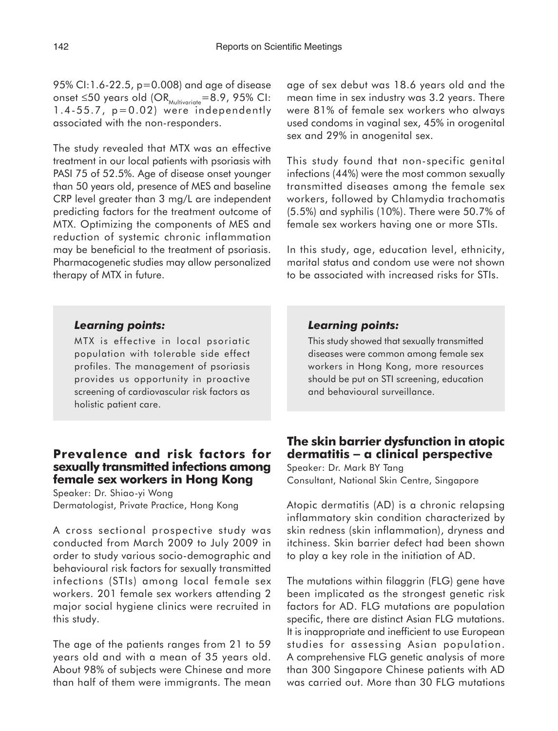95% CI:1.6-22.5, p=0.008) and age of disease onset  $\leq$ 50 years old (OR<sub>Multivariate</sub>=8.9, 95% CI:  $1.4-55.7$ ,  $p=0.02$ ) were independently associated with the non-responders.

The study revealed that MTX was an effective treatment in our local patients with psoriasis with PASI 75 of 52.5%. Age of disease onset younger than 50 years old, presence of MES and baseline CRP level greater than 3 mg/L are independent predicting factors for the treatment outcome of MTX. Optimizing the components of MES and reduction of systemic chronic inflammation may be beneficial to the treatment of psoriasis. Pharmacogenetic studies may allow personalized therapy of MTX in future.

age of sex debut was 18.6 years old and the mean time in sex industry was 3.2 years. There were 81% of female sex workers who always used condoms in vaginal sex, 45% in orogenital sex and 29% in anogenital sex.

This study found that non-specific genital infections (44%) were the most common sexually transmitted diseases among the female sex workers, followed by Chlamydia trachomatis (5.5%) and syphilis (10%). There were 50.7% of female sex workers having one or more STIs.

In this study, age, education level, ethnicity, marital status and condom use were not shown to be associated with increased risks for STIs.

## *Learning points:*

MTX is effective in local psoriatic population with tolerable side effect profiles. The management of psoriasis provides us opportunity in proactive screening of cardiovascular risk factors as holistic patient care.

## **Prevalence and risk factors for sexually transmitted infections among female sex workers in Hong Kong**

Speaker: Dr. Shiao-yi Wong Dermatologist, Private Practice, Hong Kong

A cross sectional prospective study was conducted from March 2009 to July 2009 in order to study various socio-demographic and behavioural risk factors for sexually transmitted infections (STIs) among local female sex workers. 201 female sex workers attending 2 major social hygiene clinics were recruited in this study.

The age of the patients ranges from 21 to 59 years old and with a mean of 35 years old. About 98% of subjects were Chinese and more than half of them were immigrants. The mean

### *Learning points:*

This study showed that sexually transmitted diseases were common among female sex workers in Hong Kong, more resources should be put on STI screening, education and behavioural surveillance.

## **The skin barrier dysfunction in atopic dermatitis** − **a clinical perspective**

Speaker: Dr. Mark BY Tang Consultant, National Skin Centre, Singapore

Atopic dermatitis (AD) is a chronic relapsing inflammatory skin condition characterized by skin redness (skin inflammation), dryness and itchiness. Skin barrier defect had been shown to play a key role in the initiation of AD.

The mutations within filaggrin (FLG) gene have been implicated as the strongest genetic risk factors for AD. FLG mutations are population specific, there are distinct Asian FLG mutations. It is inappropriate and inefficient to use European studies for assessing Asian population. A comprehensive FLG genetic analysis of more than 300 Singapore Chinese patients with AD was carried out. More than 30 FLG mutations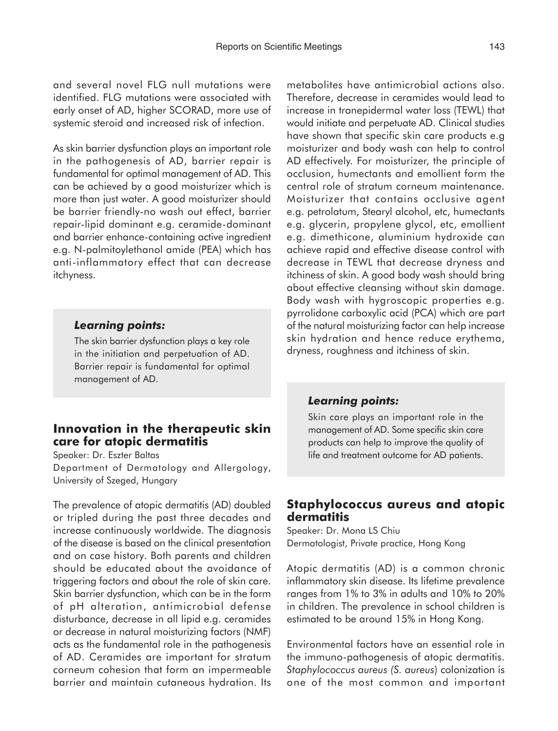and several novel FLG null mutations were identified. FLG mutations were associated with early onset of AD, higher SCORAD, more use of systemic steroid and increased risk of infection.

As skin barrier dysfunction plays an important role in the pathogenesis of AD, barrier repair is fundamental for optimal management of AD. This can be achieved by a good moisturizer which is more than just water. A good moisturizer should be barrier friendly-no wash out effect, barrier repair-lipid dominant e.g. ceramide-dominant and barrier enhance-containing active ingredient e.g. N-palmitoylethanol amide (PEA) which has anti-inflammatory effect that can decrease itchyness.

#### *Learning points:*

The skin barrier dysfunction plays a key role in the initiation and perpetuation of AD. Barrier repair is fundamental for optimal management of AD.

## **Innovation in the therapeutic skin care for atopic dermatitis**

Speaker: Dr. Eszter Baltas Department of Dermatology and Allergology, University of Szeged, Hungary

The prevalence of atopic dermatitis (AD) doubled or tripled during the past three decades and increase continuously worldwide. The diagnosis of the disease is based on the clinical presentation and on case history. Both parents and children should be educated about the avoidance of triggering factors and about the role of skin care. Skin barrier dysfunction, which can be in the form of pH alteration, antimicrobial defense disturbance, decrease in all lipid e.g. ceramides or decrease in natural moisturizing factors (NMF) acts as the fundamental role in the pathogenesis of AD. Ceramides are important for stratum corneum cohesion that form an impermeable barrier and maintain cutaneous hydration. Its

metabolites have antimicrobial actions also. Therefore, decrease in ceramides would lead to increase in tranepidermal water loss (TEWL) that would initiate and perpetuate AD. Clinical studies have shown that specific skin care products e.g moisturizer and body wash can help to control AD effectively. For moisturizer, the principle of occlusion, humectants and emollient form the central role of stratum corneum maintenance. Moisturizer that contains occlusive agent e.g. petrolatum, Stearyl alcohol, etc, humectants e.g. glycerin, propylene glycol, etc, emollient e.g. dimethicone, aluminium hydroxide can achieve rapid and effective disease control with decrease in TEWL that decrease dryness and itchiness of skin. A good body wash should bring about effective cleansing without skin damage. Body wash with hygroscopic properties e.g. pyrrolidone carboxylic acid (PCA) which are part of the natural moisturizing factor can help increase skin hydration and hence reduce erythema, dryness, roughness and itchiness of skin.

#### *Learning points:*

Skin care plays an important role in the management of AD. Some specific skin care products can help to improve the quality of life and treatment outcome for AD patients.

### **Staphylococcus aureus and atopic dermatitis**

Speaker: Dr. Mona LS Chiu Dermatologist, Private practice, Hong Kong

Atopic dermatitis (AD) is a common chronic inflammatory skin disease. Its lifetime prevalence ranges from 1% to 3% in adults and 10% to 20% in children. The prevalence in school children is estimated to be around 15% in Hong Kong.

Environmental factors have an essential role in the immuno-pathogenesis of atopic dermatitis. *Staphylococcus aureus (S. aureus*) colonization is one of the most common and important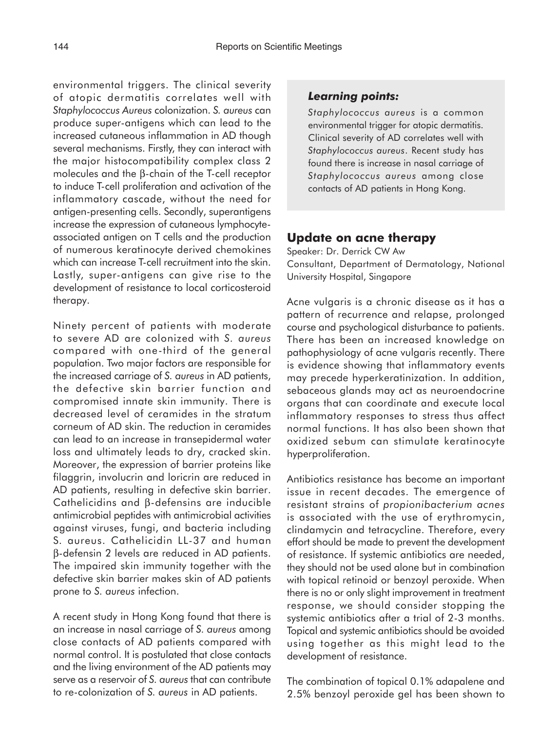environmental triggers. The clinical severity of atopic dermatitis correlates well with *Staphylococcus Aureus* colonization. *S. aureus* can produce super-antigens which can lead to the increased cutaneous inflammation in AD though several mechanisms. Firstly, they can interact with the major histocompatibility complex class 2 molecules and the β-chain of the T-cell receptor to induce T-cell proliferation and activation of the inflammatory cascade, without the need for antigen-presenting cells. Secondly, superantigens increase the expression of cutaneous lymphocyteassociated antigen on T cells and the production of numerous keratinocyte derived chemokines which can increase T-cell recruitment into the skin. Lastly, super-antigens can give rise to the development of resistance to local corticosteroid therapy.

Ninety percent of patients with moderate to severe AD are colonized with *S. aureus* compared with one-third of the general population. Two major factors are responsible for the increased carriage of *S. aureus* in AD patients, the defective skin barrier function and compromised innate skin immunity. There is decreased level of ceramides in the stratum corneum of AD skin. The reduction in ceramides can lead to an increase in transepidermal water loss and ultimately leads to dry, cracked skin. Moreover, the expression of barrier proteins like filaggrin, involucrin and loricrin are reduced in AD patients, resulting in defective skin barrier. Cathelicidins and β-defensins are inducible antimicrobial peptides with antimicrobial activities against viruses, fungi, and bacteria including S. aureus. Cathelicidin LL-37 and human β-defensin 2 levels are reduced in AD patients. The impaired skin immunity together with the defective skin barrier makes skin of AD patients prone to *S. aureus* infection.

A recent study in Hong Kong found that there is an increase in nasal carriage of *S. aureus* among close contacts of AD patients compared with normal control. It is postulated that close contacts and the living environment of the AD patients may serve as a reservoir of *S. aureus* that can contribute to re-colonization of *S. aureus* in AD patients.

## *Learning points:*

*Staphylococcus aureus* is a common environmental trigger for atopic dermatitis. Clinical severity of AD correlates well with *Staphylococcus aureus*. Recent study has found there is increase in nasal carriage of *Staphylococcus aureus* among close contacts of AD patients in Hong Kong.

# **Update on acne therapy**

Speaker: Dr. Derrick CW Aw Consultant, Department of Dermatology, National University Hospital, Singapore

Acne vulgaris is a chronic disease as it has a pattern of recurrence and relapse, prolonged course and psychological disturbance to patients. There has been an increased knowledge on pathophysiology of acne vulgaris recently. There is evidence showing that inflammatory events may precede hyperkeratinization. In addition, sebaceous glands may act as neuroendocrine organs that can coordinate and execute local inflammatory responses to stress thus affect normal functions. It has also been shown that oxidized sebum can stimulate keratinocyte hyperproliferation.

Antibiotics resistance has become an important issue in recent decades. The emergence of resistant strains of *propionibacterium acnes* is associated with the use of erythromycin, clindamycin and tetracycline. Therefore, every effort should be made to prevent the development of resistance. If systemic antibiotics are needed, they should not be used alone but in combination with topical retinoid or benzoyl peroxide. When there is no or only slight improvement in treatment response, we should consider stopping the systemic antibiotics after a trial of 2-3 months. Topical and systemic antibiotics should be avoided using together as this might lead to the development of resistance.

The combination of topical 0.1% adapalene and 2.5% benzoyl peroxide gel has been shown to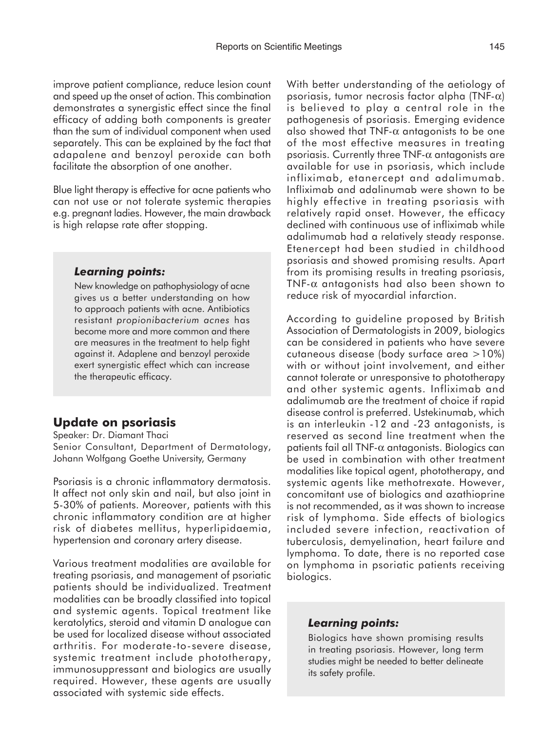improve patient compliance, reduce lesion count and speed up the onset of action. This combination demonstrates a synergistic effect since the final efficacy of adding both components is greater than the sum of individual component when used separately. This can be explained by the fact that adapalene and benzoyl peroxide can both facilitate the absorption of one another.

Blue light therapy is effective for acne patients who can not use or not tolerate systemic therapies e.g. pregnant ladies. However, the main drawback is high relapse rate after stopping.

#### *Learning points:*

New knowledge on pathophysiology of acne gives us a better understanding on how to approach patients with acne. Antibiotics resistant *propionibacterium acnes* has become more and more common and there are measures in the treatment to help fight against it. Adaplene and benzoyl peroxide exert synergistic effect which can increase the therapeutic efficacy.

# **Update on psoriasis**

Speaker: Dr. Diamant Thaci Senior Consultant, Department of Dermatology, Johann Wolfgang Goethe University, Germany

Psoriasis is a chronic inflammatory dermatosis. It affect not only skin and nail, but also joint in 5-30% of patients. Moreover, patients with this chronic inflammatory condition are at higher risk of diabetes mellitus, hyperlipidaemia, hypertension and coronary artery disease.

Various treatment modalities are available for treating psoriasis, and management of psoriatic patients should be individualized. Treatment modalities can be broadly classified into topical and systemic agents. Topical treatment like keratolytics, steroid and vitamin D analogue can be used for localized disease without associated arthritis. For moderate-to-severe disease, systemic treatment include phototherapy, immunosuppressant and biologics are usually required. However, these agents are usually associated with systemic side effects.

With better understanding of the aetiology of psoriasis, tumor necrosis factor alpha (TNF- $\alpha$ ) is believed to play a central role in the pathogenesis of psoriasis. Emerging evidence also showed that TNF- $\alpha$  antagonists to be one of the most effective measures in treating psoriasis. Currently three TNF- $\alpha$  antagonists are available for use in psoriasis, which include infliximab, etanercept and adalimumab. Infliximab and adalinumab were shown to be highly effective in treating psoriasis with relatively rapid onset. However, the efficacy declined with continuous use of infliximab while adalimumab had a relatively steady response. Etenercept had been studied in childhood psoriasis and showed promising results. Apart from its promising results in treating psoriasis, TNF-α antagonists had also been shown to reduce risk of myocardial infarction.

According to guideline proposed by British Association of Dermatologists in 2009, biologics can be considered in patients who have severe cutaneous disease (body surface area >10%) with or without joint involvement, and either cannot tolerate or unresponsive to phototherapy and other systemic agents. Infliximab and adalimumab are the treatment of choice if rapid disease control is preferred. Ustekinumab, which is an interleukin -12 and -23 antagonists, is reserved as second line treatment when the patients fail all TNF-α antagonists. Biologics can be used in combination with other treatment modalities like topical agent, phototherapy, and systemic agents like methotrexate. However, concomitant use of biologics and azathioprine is not recommended, as it was shown to increase risk of lymphoma. Side effects of biologics included severe infection, reactivation of tuberculosis, demyelination, heart failure and lymphoma. To date, there is no reported case on lymphoma in psoriatic patients receiving biologics.

#### *Learning points:*

Biologics have shown promising results in treating psoriasis. However, long term studies might be needed to better delineate its safety profile.